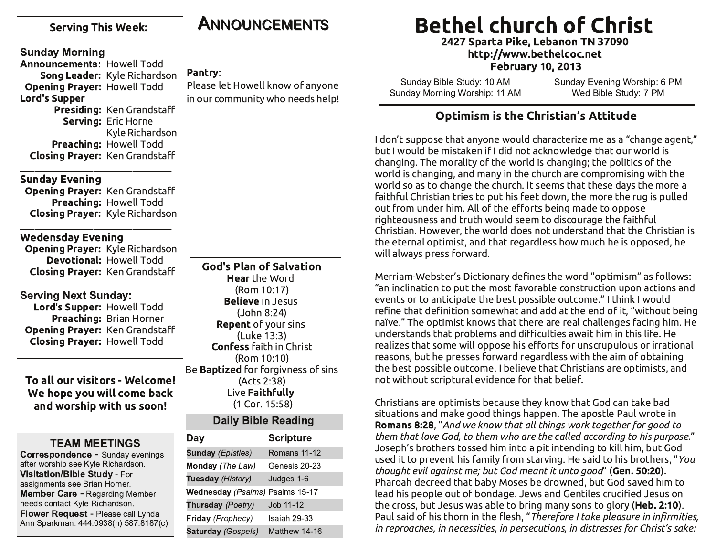| <b>Serving This Week:</b>                                                   | <b>ANNOUNCEMENTS</b>                        | <b>Bethel church of Christ</b><br>2427 Sparta Pike, Lebanon TN 37090                                                                                 |
|-----------------------------------------------------------------------------|---------------------------------------------|------------------------------------------------------------------------------------------------------------------------------------------------------|
| <b>Sunday Morning</b>                                                       |                                             | http://www.bethelcoc.net                                                                                                                             |
| <b>Announcements: Howell Todd</b>                                           |                                             | <b>February 10, 2013</b>                                                                                                                             |
| Song Leader: Kyle Richardson                                                | Pantry:<br>Please let Howell know of anyone | Sunday Bible Study: 10 AM<br>Sunday Evening Worship: 6 PM                                                                                            |
| <b>Opening Prayer: Howell Todd</b><br><b>Lord's Supper</b>                  | in our community who needs help!            | Sunday Morning Worship: 11 AM<br>Wed Bible Study: 7 PM                                                                                               |
| Presiding: Ken Grandstaff                                                   |                                             |                                                                                                                                                      |
| Serving: Eric Horne                                                         |                                             | <b>Optimism is the Christian's Attitude</b>                                                                                                          |
| Kyle Richardson                                                             |                                             | I don't suppose that anyone would characterize me as a "change agent,"                                                                               |
| Preaching: Howell Todd                                                      |                                             | but I would be mistaken if I did not acknowledge that our world is                                                                                   |
| <b>Closing Prayer: Ken Grandstaff</b>                                       |                                             | changing. The morality of the world is changing; the politics of the                                                                                 |
| <b>Sunday Evening</b>                                                       |                                             | world is changing, and many in the church are compromising with the                                                                                  |
| Opening Prayer: Ken Grandstaff                                              |                                             | world so as to change the church. It seems that these days the more a                                                                                |
| Preaching: Howell Todd                                                      |                                             | faithful Christian tries to put his feet down, the more the rug is pulled                                                                            |
| <b>Closing Prayer:</b> Kyle Richardson                                      |                                             | out from under him. All of the efforts being made to oppose                                                                                          |
|                                                                             |                                             | righteousness and truth would seem to discourage the faithful<br>Christian. However, the world does not understand that the Christian is             |
| <b>Wedensday Evening</b>                                                    |                                             | the eternal optimist, and that regardless how much he is opposed, he                                                                                 |
| <b>Opening Prayer: Kyle Richardson</b>                                      |                                             | will always press forward.                                                                                                                           |
| <b>Devotional: Howell Todd</b>                                              | <b>God's Plan of Salvation</b>              |                                                                                                                                                      |
| <b>Closing Prayer: Ken Grandstaff</b>                                       | <b>Hear</b> the Word                        | Merriam-Webster's Dictionary defines the word "optimism" as follows:                                                                                 |
| <b>Serving Next Sunday:</b>                                                 | (Rom 10:17)                                 | "an inclination to put the most favorable construction upon actions and                                                                              |
| Lord's Supper: Howell Todd                                                  | <b>Believe in Jesus</b>                     | events or to anticipate the best possible outcome." I think I would                                                                                  |
| Preaching: Brian Horner                                                     | (John 8:24)                                 | refine that definition somewhat and add at the end of it, "without being<br>naïve." The optimist knows that there are real challenges facing him. He |
| Opening Prayer: Ken Grandstaff                                              | <b>Repent</b> of your sins<br>(Luke 13:3)   | understands that problems and difficulties await him in this life. He                                                                                |
| <b>Closing Prayer: Howell Todd</b>                                          | <b>Confess</b> faith in Christ              | realizes that some will oppose his efforts for unscrupulous or irrational                                                                            |
|                                                                             | (Rom 10:10)                                 | reasons, but he presses forward regardless with the aim of obtaining                                                                                 |
|                                                                             | Be <b>Baptized</b> for forgivness of sins   | the best possible outcome. I believe that Christians are optimists, and                                                                              |
| To all our visitors - Welcome!                                              | (Acts 2:38)                                 | not without scriptural evidence for that belief.                                                                                                     |
| We hope you will come back                                                  | Live Faithfully                             | Christians are optimists because they know that God can take bad                                                                                     |
| and worship with us soon!                                                   | (1 Cor. 15:58)                              | situations and make good things happen. The apostle Paul wrote in                                                                                    |
|                                                                             | <b>Daily Bible Reading</b>                  | <b>Romans 8:28</b> , "And we know that all things work together for good to                                                                          |
| <b>TEAM MEETINGS</b>                                                        | Day<br><b>Scripture</b>                     | them that love God, to them who are the called according to his purpose."                                                                            |
| Correspondence - Sunday evenings                                            | Romans 11-12<br><b>Sunday (Epistles)</b>    | Joseph's brothers tossed him into a pit intending to kill him, but God                                                                               |
| after worship see Kyle Richardson.                                          | Genesis 20-23<br>Monday (The Law)           | used it to prevent his family from starving. He said to his brothers, "You<br>thought evil against me; but God meant it unto good" (Gen. 50:20).     |
| Visitation/Bible Study - For<br>assignments see Brian Horner.               | Tuesday (History)<br>Judges 1-6             | Pharoah decreed that baby Moses be drowned, but God saved him to                                                                                     |
| <b>Member Care - Regarding Member</b>                                       | Wednesday (Psalms) Psalms 15-17             | lead his people out of bondage. Jews and Gentiles crucified Jesus on                                                                                 |
| needs contact Kyle Richardson.                                              | Thursday (Poetry)<br>Job 11-12              | the cross, but Jesus was able to bring many sons to glory (Heb. 2:10).                                                                               |
| Flower Request - Please call Lynda<br>Ann Sparkman: 444.0938(h) 587.8187(c) | Friday (Prophecy)<br>Isaiah 29-33           | Paul said of his thorn in the flesh, "Therefore I take pleasure in infirmities,                                                                      |
|                                                                             | Matthew 14-16<br><b>Saturday (Gospels)</b>  | in reproaches, in necessities, in persecutions, in distresses for Christ's sake:                                                                     |